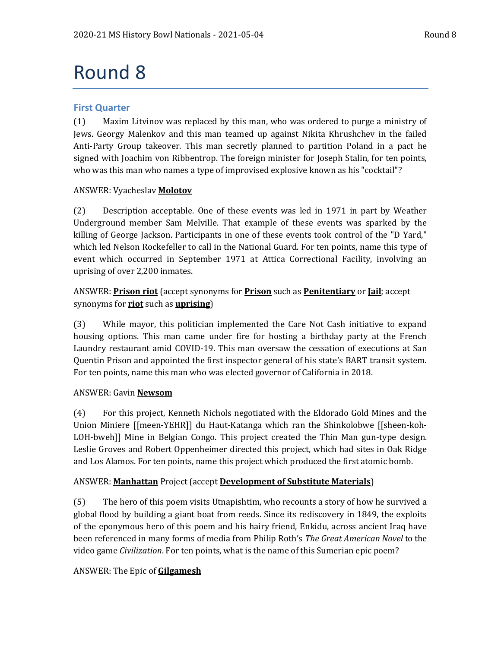# Round 8

## **First Quarter**

(1) Maxim Litvinov was replaced by this man, who was ordered to purge a ministry of Jews. Georgy Malenkov and this man teamed up against Nikita Khrushchev in the failed Anti-Party Group takeover. This man secretly planned to partition Poland in a pact he signed with Joachim von Ribbentrop. The foreign minister for Joseph Stalin, for ten points, who was this man who names a type of improvised explosive known as his "cocktail"?

## ANSWER: Vyacheslav **Molotov**

(2) Description acceptable. One of these events was led in 1971 in part by Weather Underground member Sam Melville. That example of these events was sparked by the killing of George Jackson. Participants in one of these events took control of the "D Yard," which led Nelson Rockefeller to call in the National Guard. For ten points, name this type of event which occurred in September 1971 at Attica Correctional Facility, involving an uprising of over 2,200 inmates.

# ANSWER: **Prison riot** (accept synonyms for **Prison** such as **Penitentiary** or **Jail**; accept synonyms for **riot** such as **uprising**)

(3) While mayor, this politician implemented the Care Not Cash initiative to expand housing options. This man came under fire for hosting a birthday party at the French Laundry restaurant amid COVID-19. This man oversaw the cessation of executions at San Quentin Prison and appointed the first inspector general of his state's BART transit system. For ten points, name this man who was elected governor of California in 2018.

## ANSWER: Gavin **Newsom**

(4) For this project, Kenneth Nichols negotiated with the Eldorado Gold Mines and the Union Miniere [[meen-YEHR]] du Haut-Katanga which ran the Shinkolobwe [[sheen-koh-LOH-bweh]] Mine in Belgian Congo. This project created the Thin Man gun-type design. Leslie Groves and Robert Oppenheimer directed this project, which had sites in Oak Ridge and Los Alamos. For ten points, name this project which produced the first atomic bomb.

# ANSWER: **Manhattan** Project (accept **Development of Substitute Materials**)

(5) The hero of this poem visits Utnapishtim, who recounts a story of how he survived a global flood by building a giant boat from reeds. Since its rediscovery in 1849, the exploits of the eponymous hero of this poem and his hairy friend, Enkidu, across ancient Iraq have been referenced in many forms of media from Philip Roth's *The Great American Novel* to the video game *Civilization*. For ten points, what is the name of this Sumerian epic poem?

# ANSWER: The Epic of **Gilgamesh**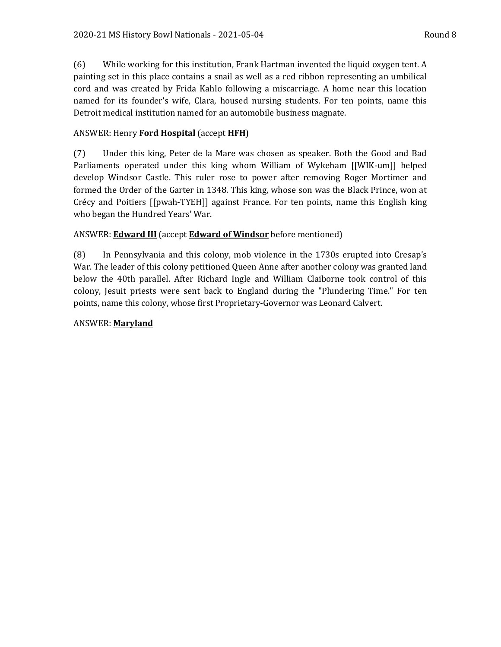(6) While working for this institution, Frank Hartman invented the liquid oxygen tent. A painting set in this place contains a snail as well as a red ribbon representing an umbilical cord and was created by Frida Kahlo following a miscarriage. A home near this location named for its founder's wife, Clara, housed nursing students. For ten points, name this Detroit medical institution named for an automobile business magnate.

# ANSWER: Henry **Ford Hospital** (accept **HFH**)

(7) Under this king, Peter de la Mare was chosen as speaker. Both the Good and Bad Parliaments operated under this king whom William of Wykeham [[WIK-um]] helped develop Windsor Castle. This ruler rose to power after removing Roger Mortimer and formed the Order of the Garter in 1348. This king, whose son was the Black Prince, won at Crécy and Poitiers [[pwah-TYEH]] against France. For ten points, name this English king who began the Hundred Years' War.

## ANSWER: **Edward III** (accept **Edward of Windsor** before mentioned)

(8) In Pennsylvania and this colony, mob violence in the 1730s erupted into Cresap's War. The leader of this colony petitioned Queen Anne after another colony was granted land below the 40th parallel. After Richard Ingle and William Claiborne took control of this colony, Jesuit priests were sent back to England during the "Plundering Time." For ten points, name this colony, whose first Proprietary-Governor was Leonard Calvert.

## ANSWER: **Maryland**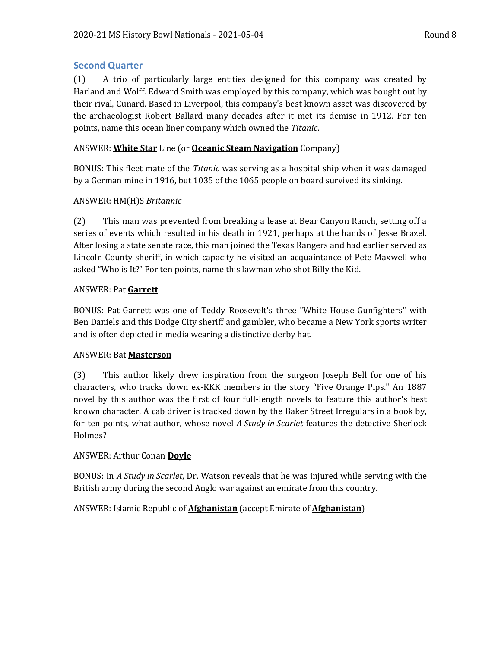# **Second Quarter**

(1) A trio of particularly large entities designed for this company was created by Harland and Wolff. Edward Smith was employed by this company, which was bought out by their rival, Cunard. Based in Liverpool, this company's best known asset was discovered by the archaeologist Robert Ballard many decades after it met its demise in 1912. For ten points, name this ocean liner company which owned the *Titanic*.

## ANSWER: **White Star** Line (or **Oceanic Steam Navigation** Company)

BONUS: This fleet mate of the *Titanic* was serving as a hospital ship when it was damaged by a German mine in 1916, but 1035 of the 1065 people on board survived its sinking.

## ANSWER: HM(H)S *Britannic*

(2) This man was prevented from breaking a lease at Bear Canyon Ranch, setting off a series of events which resulted in his death in 1921, perhaps at the hands of Jesse Brazel. After losing a state senate race, this man joined the Texas Rangers and had earlier served as Lincoln County sheriff, in which capacity he visited an acquaintance of Pete Maxwell who asked "Who is It?" For ten points, name this lawman who shot Billy the Kid.

## ANSWER: Pat **Garrett**

BONUS: Pat Garrett was one of Teddy Roosevelt's three "White House Gunfighters" with Ben Daniels and this Dodge City sheriff and gambler, who became a New York sports writer and is often depicted in media wearing a distinctive derby hat.

## ANSWER: Bat **Masterson**

(3) This author likely drew inspiration from the surgeon Joseph Bell for one of his characters, who tracks down ex-KKK members in the story "Five Orange Pips." An 1887 novel by this author was the first of four full-length novels to feature this author's best known character. A cab driver is tracked down by the Baker Street Irregulars in a book by, for ten points, what author, whose novel *A Study in Scarlet* features the detective Sherlock Holmes?

## ANSWER: Arthur Conan **Doyle**

BONUS: In *A Study in Scarlet*, Dr. Watson reveals that he was injured while serving with the British army during the second Anglo war against an emirate from this country.

# ANSWER: Islamic Republic of **Afghanistan** (accept Emirate of **Afghanistan**)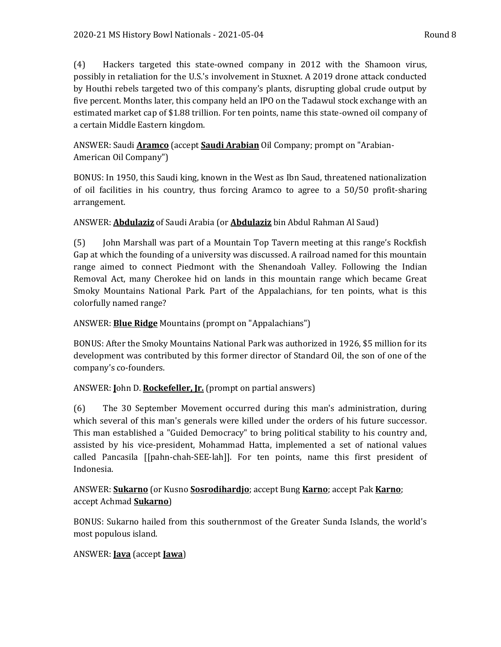(4) Hackers targeted this state-owned company in 2012 with the Shamoon virus, possibly in retaliation for the U.S.'s involvement in Stuxnet. A 2019 drone attack conducted by Houthi rebels targeted two of this company's plants, disrupting global crude output by five percent. Months later, this company held an IPO on the Tadawul stock exchange with an estimated market cap of \$1.88 trillion. For ten points, name this state-owned oil company of a certain Middle Eastern kingdom.

ANSWER: Saudi **Aramco** (accept **Saudi Arabian** Oil Company; prompt on "Arabian-American Oil Company")

BONUS: In 1950, this Saudi king, known in the West as Ibn Saud, threatened nationalization of oil facilities in his country, thus forcing Aramco to agree to a 50/50 profit-sharing arrangement.

# ANSWER: **Abdulaziz** of Saudi Arabia (or **Abdulaziz** bin Abdul Rahman Al Saud)

(5) John Marshall was part of a Mountain Top Tavern meeting at this range's Rockfish Gap at which the founding of a university was discussed. A railroad named for this mountain range aimed to connect Piedmont with the Shenandoah Valley. Following the Indian Removal Act, many Cherokee hid on lands in this mountain range which became Great Smoky Mountains National Park. Part of the Appalachians, for ten points, what is this colorfully named range?

# ANSWER: **Blue Ridge** Mountains (prompt on "Appalachians")

BONUS: After the Smoky Mountains National Park was authorized in 1926, \$5 million for its development was contributed by this former director of Standard Oil, the son of one of the company's co-founders.

# ANSWER: **J**ohn D. **Rockefeller, Jr.** (prompt on partial answers)

(6) The 30 September Movement occurred during this man's administration, during which several of this man's generals were killed under the orders of his future successor. This man established a "Guided Democracy" to bring political stability to his country and, assisted by his vice-president, Mohammad Hatta, implemented a set of national values called Pancasila [[pahn-chah-SEE-lah]]. For ten points, name this first president of Indonesia.

# ANSWER: **Sukarno** (or Kusno **Sosrodihardjo**; accept Bung **Karno**; accept Pak **Karno**; accept Achmad **Sukarno**)

BONUS: Sukarno hailed from this southernmost of the Greater Sunda Islands, the world's most populous island.

# ANSWER: **Java** (accept **Jawa**)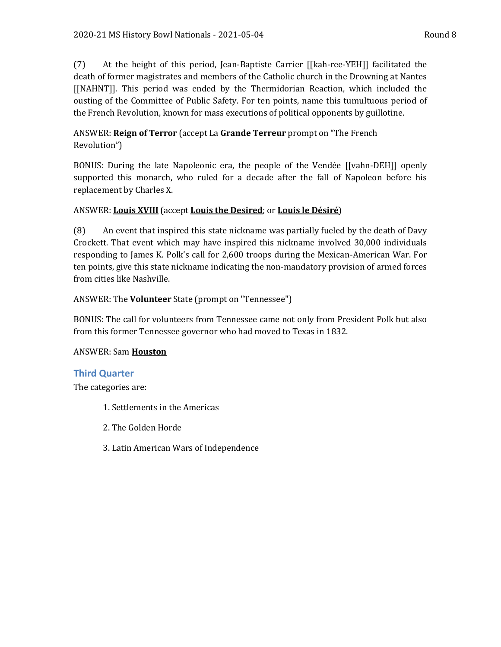(7) At the height of this period, Jean-Baptiste Carrier [[kah-ree-YEH]] facilitated the death of former magistrates and members of the Catholic church in the Drowning at Nantes [[NAHNT]]. This period was ended by the Thermidorian Reaction, which included the ousting of the Committee of Public Safety. For ten points, name this tumultuous period of the French Revolution, known for mass executions of political opponents by guillotine.

# ANSWER: **Reign of Terror** (accept La **Grande Terreur** prompt on "The French Revolution")

BONUS: During the late Napoleonic era, the people of the Vendée [[vahn-DEH]] openly supported this monarch, who ruled for a decade after the fall of Napoleon before his replacement by Charles X.

# ANSWER: **Louis XVIII** (accept **Louis the Desired**; or **Louis le Désiré**)

(8) An event that inspired this state nickname was partially fueled by the death of Davy Crockett. That event which may have inspired this nickname involved 30,000 individuals responding to James K. Polk's call for 2,600 troops during the Mexican-American War. For ten points, give this state nickname indicating the non-mandatory provision of armed forces from cities like Nashville.

# ANSWER: The **Volunteer** State (prompt on "Tennessee")

BONUS: The call for volunteers from Tennessee came not only from President Polk but also from this former Tennessee governor who had moved to Texas in 1832.

## ANSWER: Sam **Houston**

# **Third Quarter**

The categories are:

- 1. Settlements in the Americas
- 2. The Golden Horde
- 3. Latin American Wars of Independence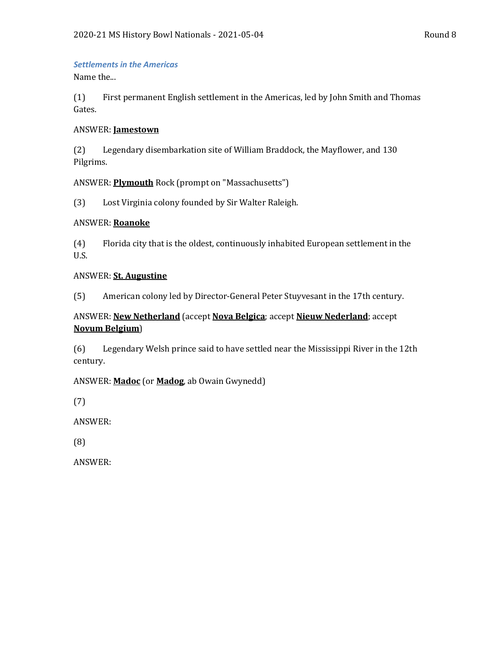#### *Settlements in the Americas*

Name the...

(1) First permanent English settlement in the Americas, led by John Smith and Thomas Gates.

#### ANSWER: **Jamestown**

(2) Legendary disembarkation site of William Braddock, the Mayflower, and 130 Pilgrims.

## ANSWER: **Plymouth** Rock (prompt on "Massachusetts")

(3) Lost Virginia colony founded by Sir Walter Raleigh.

#### ANSWER: **Roanoke**

(4) Florida city that is the oldest, continuously inhabited European settlement in the U.S.

#### ANSWER: **St. Augustine**

(5) American colony led by Director-General Peter Stuyvesant in the 17th century.

# ANSWER: **New Netherland** (accept **Nova Belgica**; accept **Nieuw Nederland**; accept **Novum Belgium**)

(6) Legendary Welsh prince said to have settled near the Mississippi River in the 12th century.

## ANSWER: **Madoc** (or **Madog**, ab Owain Gwynedd)

(7)

ANSWER:

(8)

ANSWER: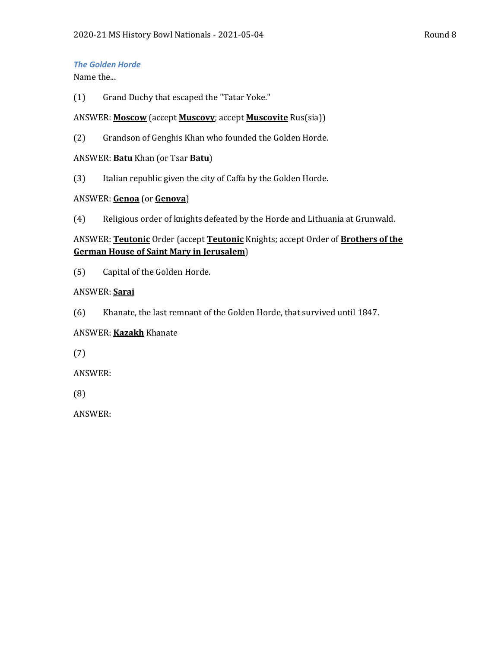## *The Golden Horde*

Name the...

(1) Grand Duchy that escaped the "Tatar Yoke."

## ANSWER: **Moscow** (accept **Muscovy**; accept **Muscovite** Rus(sia))

(2) Grandson of Genghis Khan who founded the Golden Horde.

## ANSWER: **Batu** Khan (or Tsar **Batu**)

(3) Italian republic given the city of Caffa by the Golden Horde.

## ANSWER: **Genoa** (or **Genova**)

(4) Religious order of knights defeated by the Horde and Lithuania at Grunwald.

## ANSWER: **Teutonic** Order (accept **Teutonic** Knights; accept Order of **Brothers of the German House of Saint Mary in Jerusalem**)

(5) Capital of the Golden Horde.

## ANSWER: **Sarai**

(6) Khanate, the last remnant of the Golden Horde, that survived until 1847.

# ANSWER: **Kazakh** Khanate

(7)

ANSWER:

(8)

ANSWER: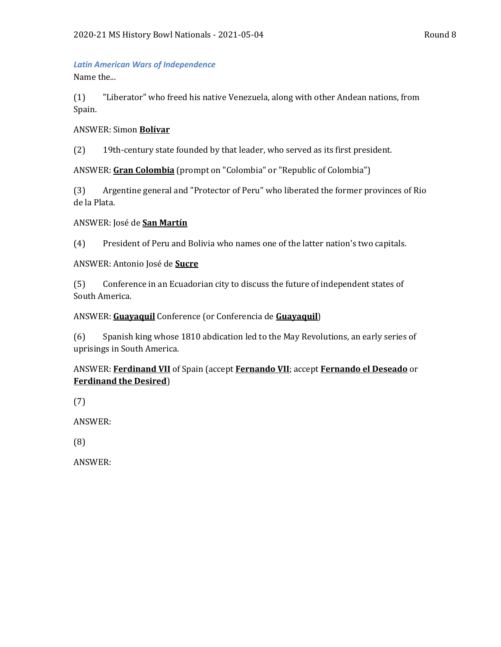# *Latin American Wars of Independence*

Name the...

(1) "Liberator" who freed his native Venezuela, along with other Andean nations, from Spain.

## ANSWER: Simon **Bolívar**

(2) 19th-century state founded by that leader, who served as its first president.

ANSWER: **Gran Colombia** (prompt on "Colombia" or "Republic of Colombia")

(3) Argentine general and "Protector of Peru" who liberated the former provinces of Rio de la Plata.

## ANSWER: José de **San Martín**

(4) President of Peru and Bolivia who names one of the latter nation's two capitals.

## ANSWER: Antonio José de **Sucre**

(5) Conference in an Ecuadorian city to discuss the future of independent states of South America.

## ANSWER: **Guayaquil** Conference (or Conferencia de **Guayaquil**)

(6) Spanish king whose 1810 abdication led to the May Revolutions, an early series of uprisings in South America.

# ANSWER: **Ferdinand VII** of Spain (accept **Fernando VII**; accept **Fernando el Deseado** or **Ferdinand the Desired**)

(7)

ANSWER:

(8)

ANSWER: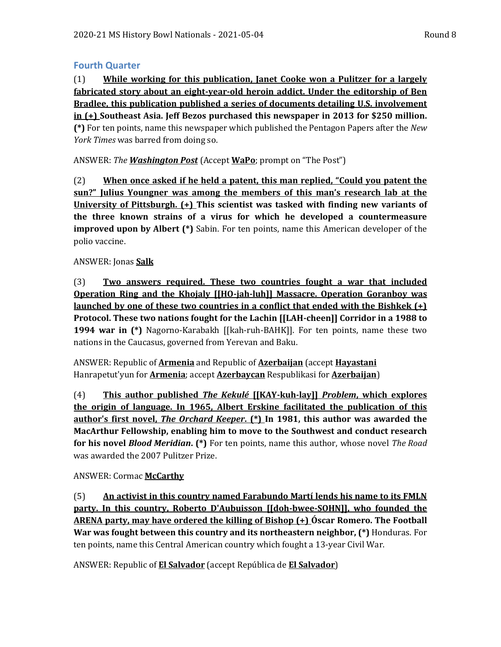## **Fourth Quarter**

(1) **While working for this publication, Janet Cooke won a Pulitzer for a largely fabricated story about an eight-year-old heroin addict. Under the editorship of Ben Bradlee, this publication published a series of documents detailing U.S. involvement in (+) Southeast Asia. Jeff Bezos purchased this newspaper in 2013 for \$250 million. (\*)** For ten points, name this newspaper which published the Pentagon Papers after the *New York Times* was barred from doing so.

ANSWER: *The Washington Post* (Accept **WaPo**; prompt on "The Post")

(2) **When once asked if he held a patent, this man replied, "Could you patent the sun?" Julius Youngner was among the members of this man's research lab at the University of Pittsburgh. (+) This scientist was tasked with finding new variants of the three known strains of a virus for which he developed a countermeasure improved upon by Albert (\*)** Sabin. For ten points, name this American developer of the polio vaccine.

## ANSWER: Jonas **Salk**

(3) **Two answers required. These two countries fought a war that included Operation Ring and the Khojaly [[HO-jah-luh]] Massacre. Operation Goranboy was launched by one of these two countries in a conflict that ended with the Bishkek (+) Protocol. These two nations fought for the Lachin [[LAH-cheen]] Corridor in a 1988 to 1994 war in (\*)** Nagorno-Karabakh [[kah-ruh-BAHK]]. For ten points, name these two nations in the Caucasus, governed from Yerevan and Baku.

ANSWER: Republic of **Armenia** and Republic of **Azerbaijan** (accept **Hayastani** Hanrapetut'yun for **Armenia**; accept **Azerbaycan** Respublikasi for **Azerbaijan**)

(4) **This author published** *The Kekulé* **[[KAY-kuh-lay]]** *Problem***, which explores the origin of language. In 1965, Albert Erskine facilitated the publication of this author's first novel,** *The Orchard Keeper***. (\*) In 1981, this author was awarded the MacArthur Fellowship, enabling him to move to the Southwest and conduct research for his novel** *Blood Meridian***. (\*)** For ten points, name this author, whose novel *The Road* was awarded the 2007 Pulitzer Prize.

# ANSWER: Cormac **McCarthy**

(5) **An activist in this country named Farabundo Martí lends his name to its FMLN party. In this country, Roberto D'Aubuisson [[doh-bwee-SOHN]], who founded the ARENA party, may have ordered the killing of Bishop (+) Óscar Romero. The Football War was fought between this country and its northeastern neighbor, (\*)** Honduras. For ten points, name this Central American country which fought a 13-year Civil War.

ANSWER: Republic of **El Salvador** (accept República de **El Salvador**)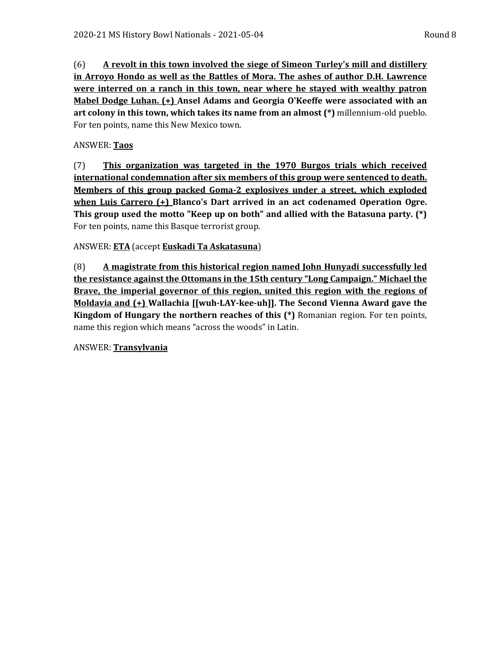(6) **A revolt in this town involved the siege of Simeon Turley's mill and distillery in Arroyo Hondo as well as the Battles of Mora. The ashes of author D.H. Lawrence were interred on a ranch in this town, near where he stayed with wealthy patron Mabel Dodge Luhan. (+) Ansel Adams and Georgia O'Keeffe were associated with an art colony in this town, which takes its name from an almost (\*)** millennium-old pueblo. For ten points, name this New Mexico town.

# ANSWER: **Taos**

(7) **This organization was targeted in the 1970 Burgos trials which received international condemnation after six members of this group were sentenced to death. Members of this group packed Goma-2 explosives under a street, which exploded when Luis Carrero (+) Blanco's Dart arrived in an act codenamed Operation Ogre. This group used the motto "Keep up on both" and allied with the Batasuna party. (\*)**  For ten points, name this Basque terrorist group.

# ANSWER: **ETA** (accept **Euskadi Ta Askatasuna**)

(8) **A magistrate from this historical region named John Hunyadi successfully led the resistance against the Ottomans in the 15th century "Long Campaign." Michael the Brave, the imperial governor of this region, united this region with the regions of Moldavia and (+) Wallachia [[wuh-LAY-kee-uh]]. The Second Vienna Award gave the Kingdom of Hungary the northern reaches of this (\*)** Romanian region. For ten points, name this region which means "across the woods" in Latin.

# ANSWER: **Transylvania**